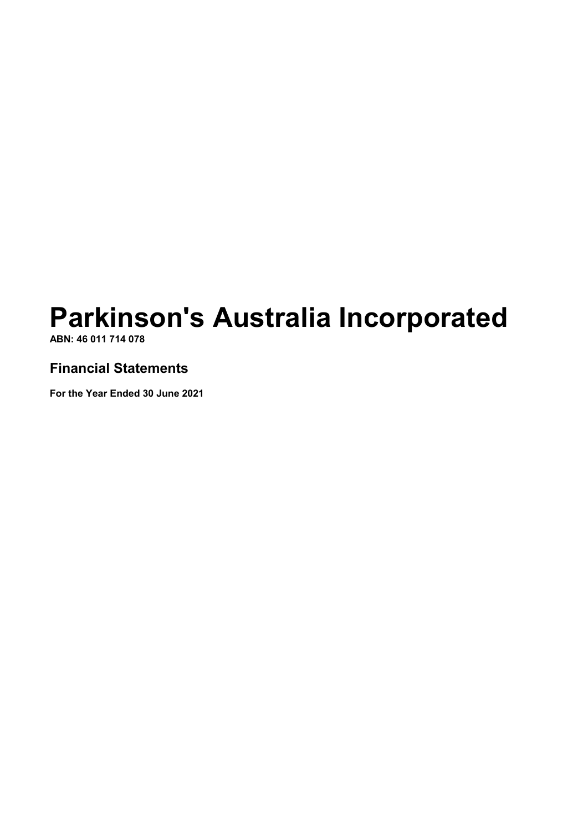**ABN: 46 011 714 078**

### **Financial Statements**

**For the Year Ended 30 June 2021**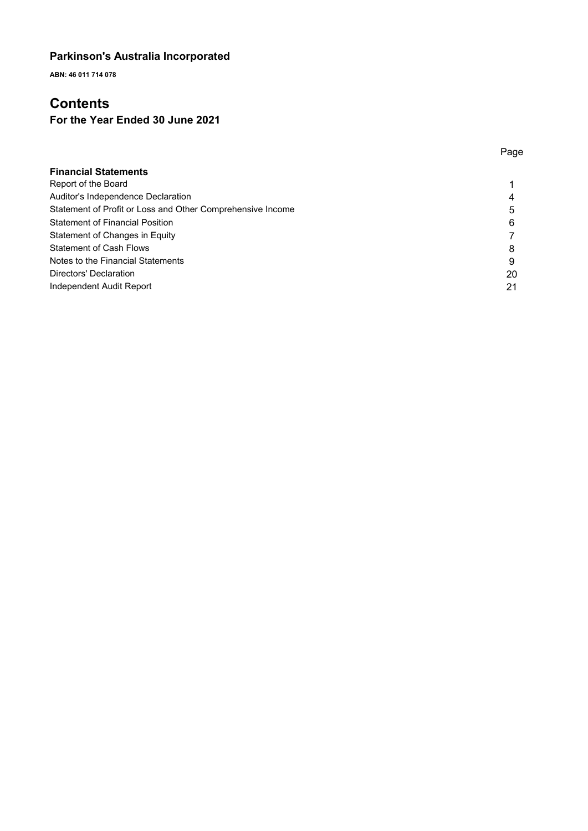**ABN: 46 011 714 078**

# **Contents**

### **For the Year Ended 30 June 2021**

|                                                            | Page |
|------------------------------------------------------------|------|
| <b>Financial Statements</b>                                |      |
| Report of the Board                                        |      |
| Auditor's Independence Declaration                         | 4    |
| Statement of Profit or Loss and Other Comprehensive Income | 5    |
| <b>Statement of Financial Position</b>                     | 6    |
| Statement of Changes in Equity                             |      |
| <b>Statement of Cash Flows</b>                             | 8    |
| Notes to the Financial Statements                          | 9    |
| Directors' Declaration                                     | 20   |
| Independent Audit Report                                   | 21   |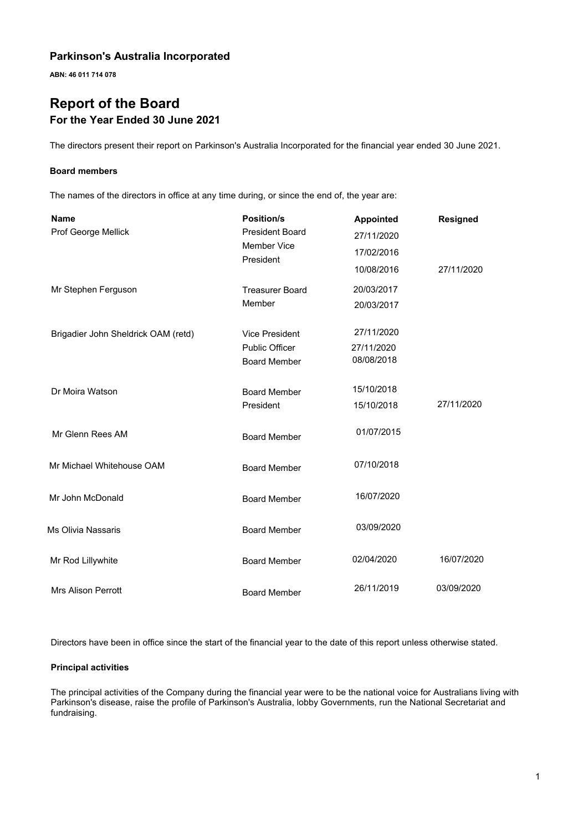**ABN: 46 011 714 078**

# **Report of the Board For the Year Ended 30 June 2021**

The directors present their report on Parkinson's Australia Incorporated for the financial year ended 30 June 2021.

#### **Board members**

The names of the directors in office at any time during, or since the end of, the year are:

| <b>Name</b><br>Prof George Mellick  | <b>Position/s</b><br><b>President Board</b><br><b>Member Vice</b> | <b>Appointed</b><br>27/11/2020         | <b>Resigned</b> |
|-------------------------------------|-------------------------------------------------------------------|----------------------------------------|-----------------|
|                                     | President                                                         | 17/02/2016<br>10/08/2016               | 27/11/2020      |
| Mr Stephen Ferguson                 | <b>Treasurer Board</b><br>Member                                  | 20/03/2017<br>20/03/2017               |                 |
| Brigadier John Sheldrick OAM (retd) | Vice President<br><b>Public Officer</b><br><b>Board Member</b>    | 27/11/2020<br>27/11/2020<br>08/08/2018 |                 |
| Dr Moira Watson                     | <b>Board Member</b><br>President                                  | 15/10/2018<br>15/10/2018               | 27/11/2020      |
| Mr Glenn Rees AM                    | <b>Board Member</b>                                               | 01/07/2015                             |                 |
| Mr Michael Whitehouse OAM           | <b>Board Member</b>                                               | 07/10/2018                             |                 |
| Mr John McDonald                    | <b>Board Member</b>                                               | 16/07/2020                             |                 |
| Ms Olivia Nassaris                  | <b>Board Member</b>                                               | 03/09/2020                             |                 |
| Mr Rod Lillywhite                   | <b>Board Member</b>                                               | 02/04/2020                             | 16/07/2020      |
| <b>Mrs Alison Perrott</b>           | <b>Board Member</b>                                               | 26/11/2019                             | 03/09/2020      |

Directors have been in office since the start of the financial year to the date of this report unless otherwise stated.

#### **Principal activities**

The principal activities of the Company during the financial year were to be the national voice for Australians living with Parkinson's disease, raise the profile of Parkinson's Australia, lobby Governments, run the National Secretariat and fundraising.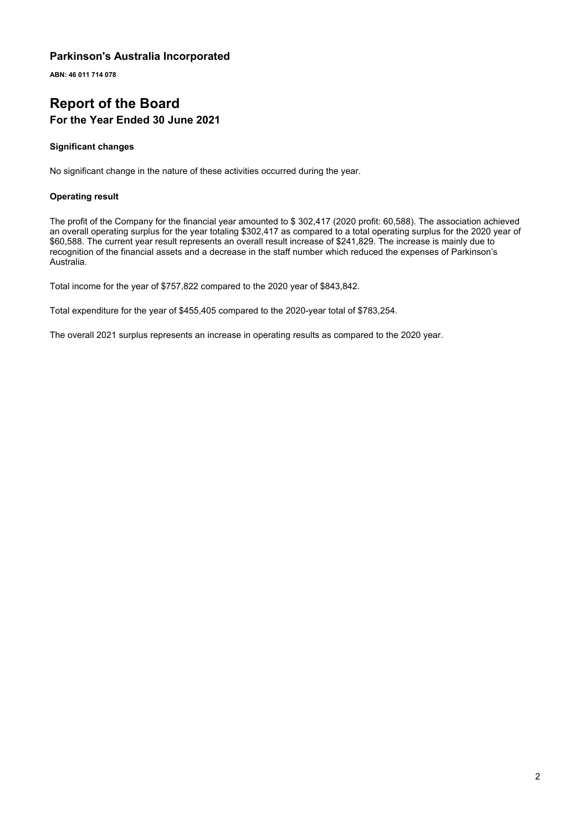**ABN: 46 011 714 078**

# **Report of the Board For the Year Ended 30 June 2021**

#### **Significant changes**

No significant change in the nature of these activities occurred during the year.

#### **Operating result**

The profit of the Company for the financial year amounted to \$ 302,417 (2020 profit: 60,588). The association achieved an overall operating surplus for the year totaling \$302,417 as compared to a total operating surplus for the 2020 year of \$60,588. The current year result represents an overall result increase of \$241,829. The increase is mainly due to recognition of the financial assets and a decrease in the staff number which reduced the expenses of Parkinson's Australia.

Total income for the year of \$757,822 compared to the 2020 year of \$843,842.

Total expenditure for the year of \$455,405 compared to the 2020-year total of \$783,254.

The overall 2021 surplus represents an increase in operating results as compared to the 2020 year.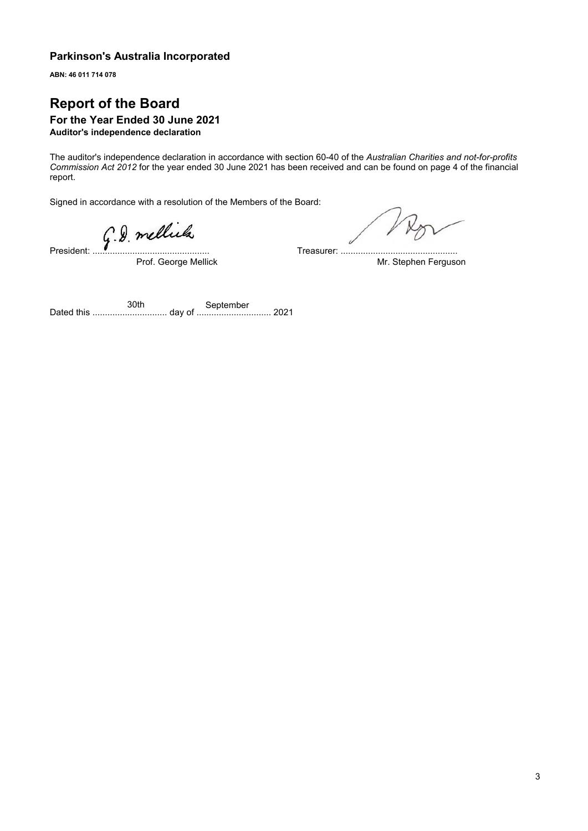**ABN: 46 011 714 078**

# **Report of the Board**

#### **For the Year Ended 30 June 2021 Auditor's independence declaration**

The auditor's independence declaration in accordance with section 60-40 of the *Australian Charities and not-for-profits Commission Act 2012* for the year ended 30 June 2021 has been received and can be found on page 4 of the financial report.

Signed in accordance with a resolution of the Members of the Board:

Fresident: G.D. mellula

Prof. George Mellick

Treasurer: ............................................... Mr. Stephen Ferguson

Dated this .............................. day of .............................. 2021 30th September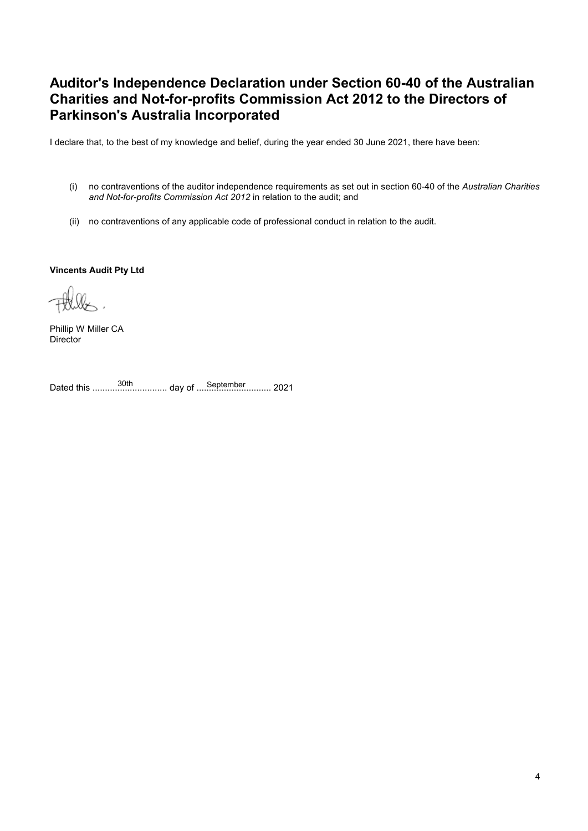# **Auditor's Independence Declaration under Section 60-40 of the Australian Charities and Not-for-profits Commission Act 2012 to the Directors of Parkinson's Australia Incorporated**

I declare that, to the best of my knowledge and belief, during the year ended 30 June 2021, there have been:

- (i) no contraventions of the auditor independence requirements as set out in section 60-40 of the *Australian Charities and Not-for-profits Commission Act 2012* in relation to the audit; and
- (ii) no contraventions of any applicable code of professional conduct in relation to the audit.

**Vincents Audit Pty Ltd**

Phillip W Miller CA **Director** 

Dated this .............................. day of .............................. 2021 30th September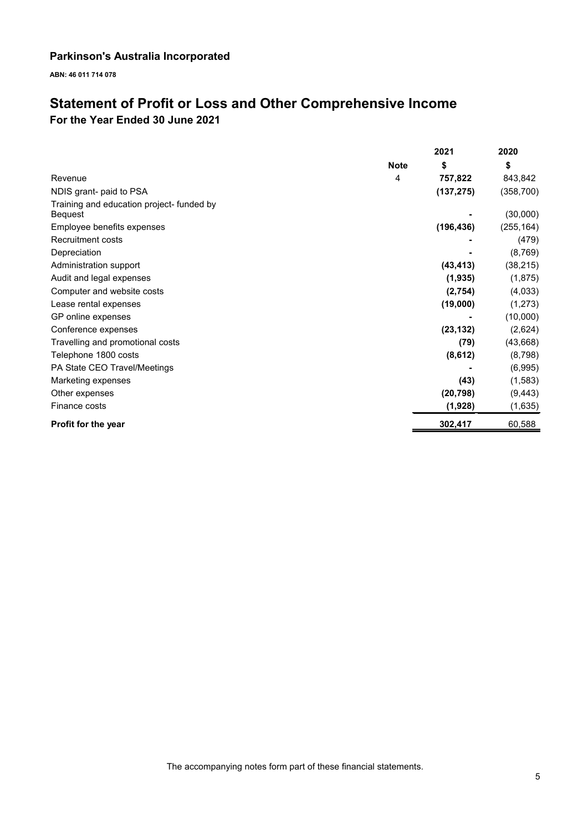**ABN: 46 011 714 078**

# **Statement of Profit or Loss and Other Comprehensive Income For the Year Ended 30 June 2021**

|                                                      |             | 2021       | 2020       |
|------------------------------------------------------|-------------|------------|------------|
|                                                      | <b>Note</b> | \$         | \$         |
| Revenue                                              | 4           | 757,822    | 843,842    |
| NDIS grant- paid to PSA                              |             | (137, 275) | (358, 700) |
| Training and education project- funded by<br>Bequest |             |            | (30,000)   |
| Employee benefits expenses                           |             | (196, 436) | (255, 164) |
| Recruitment costs                                    |             |            | (479)      |
| Depreciation                                         |             |            | (8, 769)   |
| Administration support                               |             | (43, 413)  | (38, 215)  |
| Audit and legal expenses                             |             | (1, 935)   | (1, 875)   |
| Computer and website costs                           |             | (2,754)    | (4,033)    |
| Lease rental expenses                                |             | (19,000)   | (1, 273)   |
| GP online expenses                                   |             |            | (10,000)   |
| Conference expenses                                  |             | (23, 132)  | (2,624)    |
| Travelling and promotional costs                     |             | (79)       | (43, 668)  |
| Telephone 1800 costs                                 |             | (8,612)    | (8,798)    |
| PA State CEO Travel/Meetings                         |             |            | (6,995)    |
| Marketing expenses                                   |             | (43)       | (1,583)    |
| Other expenses                                       |             | (20, 798)  | (9, 443)   |
| Finance costs                                        |             | (1,928)    | (1,635)    |
| Profit for the year                                  |             | 302,417    | 60,588     |

The accompanying notes form part of these financial statements.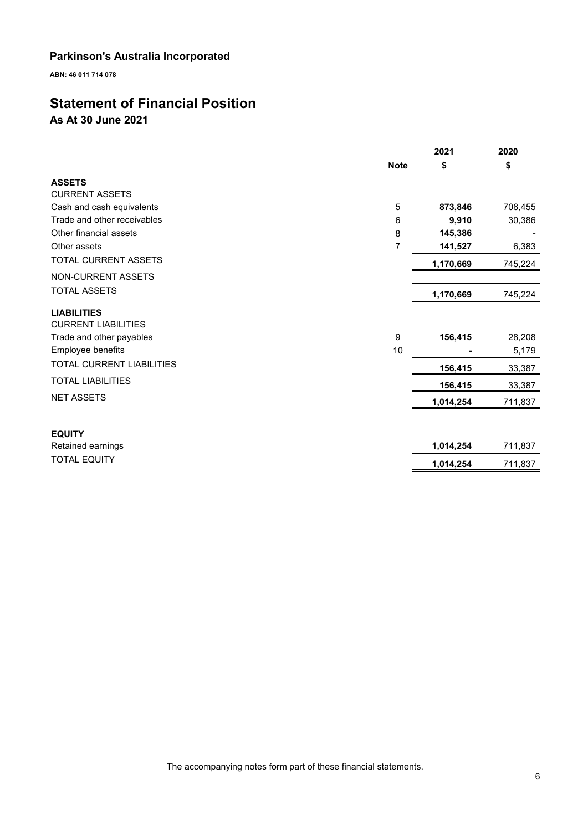**ABN: 46 011 714 078**

# **Statement of Financial Position**

**As At 30 June 2021**

|                                                  |             | 2021      | 2020    |
|--------------------------------------------------|-------------|-----------|---------|
|                                                  | <b>Note</b> | \$        | \$      |
| <b>ASSETS</b>                                    |             |           |         |
| <b>CURRENT ASSETS</b>                            |             |           |         |
| Cash and cash equivalents                        | 5           | 873,846   | 708,455 |
| Trade and other receivables                      | 6           | 9,910     | 30,386  |
| Other financial assets                           | 8           | 145,386   |         |
| Other assets                                     | 7           | 141,527   | 6,383   |
| TOTAL CURRENT ASSETS                             |             | 1,170,669 | 745,224 |
| NON-CURRENT ASSETS                               |             |           |         |
| <b>TOTAL ASSETS</b>                              |             | 1,170,669 | 745,224 |
| <b>LIABILITIES</b><br><b>CURRENT LIABILITIES</b> |             |           |         |
| Trade and other payables                         | 9           | 156,415   | 28,208  |
| Employee benefits                                | 10          |           | 5,179   |
| <b>TOTAL CURRENT LIABILITIES</b>                 |             | 156,415   | 33,387  |
| <b>TOTAL LIABILITIES</b>                         |             | 156,415   | 33,387  |
| <b>NET ASSETS</b>                                |             | 1,014,254 | 711,837 |
|                                                  |             |           |         |
| <b>EQUITY</b>                                    |             |           |         |
| Retained earnings                                |             | 1,014,254 | 711,837 |
| <b>TOTAL EQUITY</b>                              |             | 1,014,254 | 711,837 |
|                                                  |             |           |         |

The accompanying notes form part of these financial statements.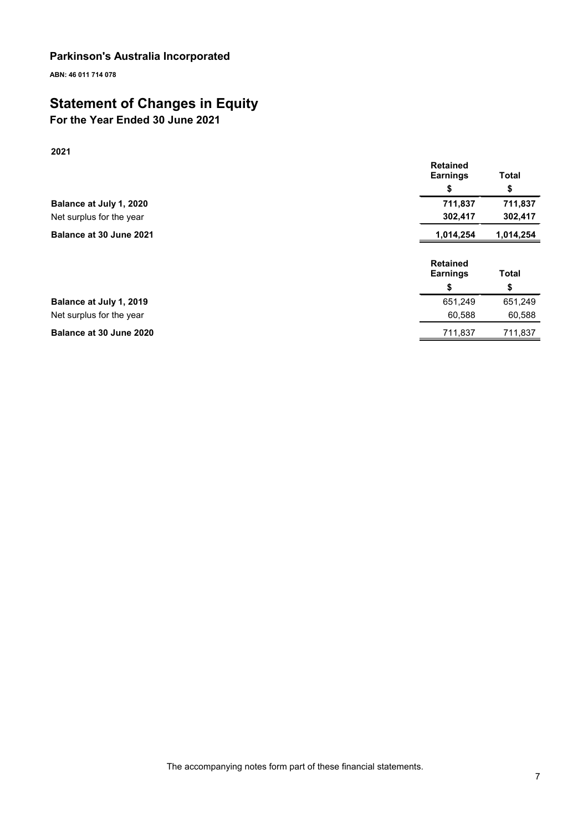**ABN: 46 011 714 078**

# **Statement of Changes in Equity**

# **For the Year Ended 30 June 2021**

**2021**

|                          | <b>Retained</b><br><b>Earnings</b> | <b>Total</b> |
|--------------------------|------------------------------------|--------------|
|                          | S                                  | \$           |
| Balance at July 1, 2020  | 711,837                            | 711,837      |
| Net surplus for the year | 302,417                            | 302,417      |
| Balance at 30 June 2021  | 1,014,254                          | 1,014,254    |
|                          | <b>Retained</b><br><b>Earnings</b> | <b>Total</b> |
|                          | \$                                 | \$           |
| Balance at July 1, 2019  | 651,249                            | 651,249      |
| Net surplus for the year | 60,588                             | 60,588       |
| Balance at 30 June 2020  |                                    |              |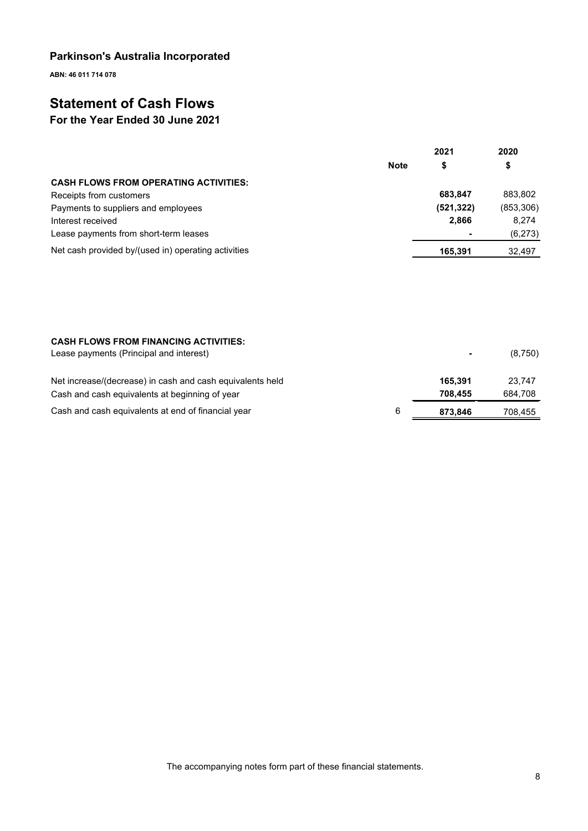**ABN: 46 011 714 078**

# **Statement of Cash Flows**

# **For the Year Ended 30 June 2021**

|                                                     |             | 2021       | 2020       |
|-----------------------------------------------------|-------------|------------|------------|
|                                                     | <b>Note</b> | \$         | \$         |
| <b>CASH FLOWS FROM OPERATING ACTIVITIES:</b>        |             |            |            |
| Receipts from customers                             |             | 683.847    | 883.802    |
| Payments to suppliers and employees                 |             | (521, 322) | (853, 306) |
| Interest received                                   |             | 2.866      | 8.274      |
| Lease payments from short-term leases               |             |            | (6, 273)   |
| Net cash provided by/(used in) operating activities |             | 165.391    | 32,497     |

| <b>CASH FLOWS FROM FINANCING ACTIVITIES:</b><br>Lease payments (Principal and interest) |   |         | (8,750) |
|-----------------------------------------------------------------------------------------|---|---------|---------|
| Net increase/(decrease) in cash and cash equivalents held                               |   | 165.391 | 23.747  |
| Cash and cash equivalents at beginning of year                                          |   | 708.455 | 684,708 |
| Cash and cash equivalents at end of financial year                                      | 6 | 873.846 | 708,455 |

The accompanying notes form part of these financial statements.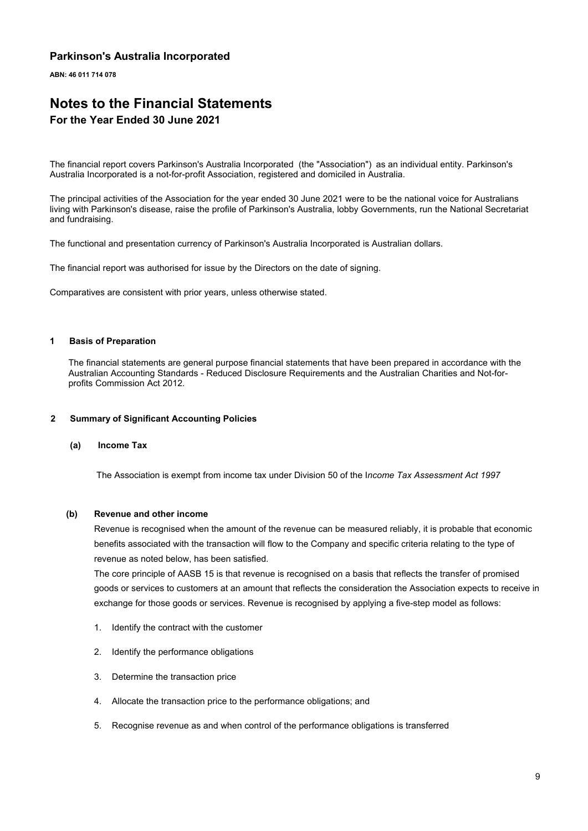**ABN: 46 011 714 078**

### **Notes to the Financial Statements For the Year Ended 30 June 2021**

The financial report covers Parkinson's Australia Incorporated (the "Association") as an individual entity. Parkinson's Australia Incorporated is a not-for-profit Association, registered and domiciled in Australia.

The principal activities of the Association for the year ended 30 June 2021 were to be the national voice for Australians living with Parkinson's disease, raise the profile of Parkinson's Australia, lobby Governments, run the National Secretariat and fundraising.

The functional and presentation currency of Parkinson's Australia Incorporated is Australian dollars.

The financial report was authorised for issue by the Directors on the date of signing.

Comparatives are consistent with prior years, unless otherwise stated.

#### **1 Basis of Preparation**

The financial statements are general purpose financial statements that have been prepared in accordance with the Australian Accounting Standards - Reduced Disclosure Requirements and the Australian Charities and Not-forprofits Commission Act 2012*.*

#### **2 Summary of Significant Accounting Policies**

#### **(a) Income Tax**

The Association is exempt from income tax under Division 50 of the I*ncome Tax Assessment Act 1997*

#### **(b) Revenue and other income**

Revenue is recognised when the amount of the revenue can be measured reliably, it is probable that economic benefits associated with the transaction will flow to the Company and specific criteria relating to the type of revenue as noted below, has been satisfied.

The core principle of AASB 15 is that revenue is recognised on a basis that reflects the transfer of promised goods or services to customers at an amount that reflects the consideration the Association expects to receive in exchange for those goods or services. Revenue is recognised by applying a five-step model as follows:

- 1. Identify the contract with the customer
- 2. Identify the performance obligations
- 3. Determine the transaction price
- 4. Allocate the transaction price to the performance obligations; and
- 5. Recognise revenue as and when control of the performance obligations is transferred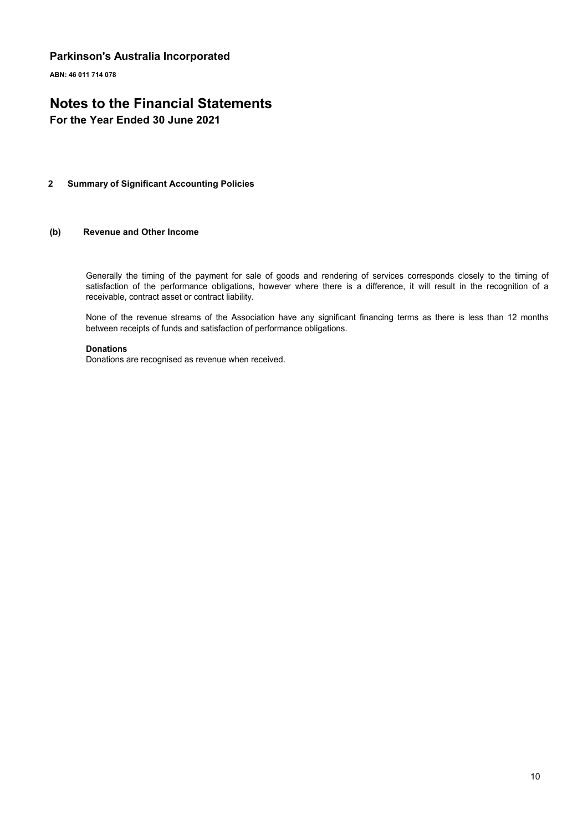**ABN: 46 011 714 078**

# **Notes to the Financial Statements**

**For the Year Ended 30 June 2021**

#### **2 Summary of Significant Accounting Policies**

#### **(b) Revenue and Other Income**

Generally the timing of the payment for sale of goods and rendering of services corresponds closely to the timing of satisfaction of the performance obligations, however where there is a difference, it will result in the recognition of a receivable, contract asset or contract liability.

None of the revenue streams of the Association have any significant financing terms as there is less than 12 months between receipts of funds and satisfaction of performance obligations.

#### **Donations**

Donations are recognised as revenue when received.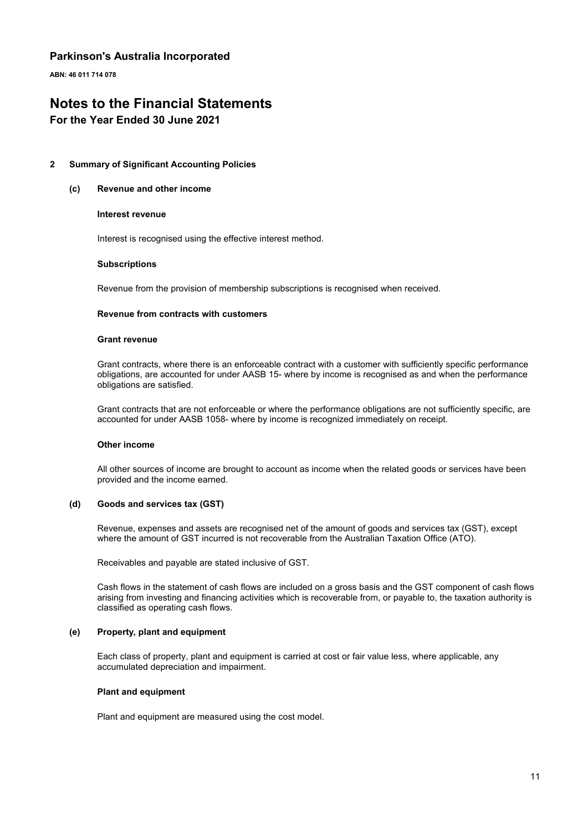**ABN: 46 011 714 078**

# **Notes to the Financial Statements**

#### **For the Year Ended 30 June 2021**

#### **2 Summary of Significant Accounting Policies**

#### **(c) Revenue and other income**

#### **Interest revenue**

Interest is recognised using the effective interest method.

#### **Subscriptions**

Revenue from the provision of membership subscriptions is recognised when received.

#### **Revenue from contracts with customers**

#### **Grant revenue**

Grant contracts, where there is an enforceable contract with a customer with sufficiently specific performance obligations, are accounted for under AASB 15- where by income is recognised as and when the performance obligations are satisfied.

Grant contracts that are not enforceable or where the performance obligations are not sufficiently specific, are accounted for under AASB 1058- where by income is recognized immediately on receipt.

#### **Other income**

All other sources of income are brought to account as income when the related goods or services have been provided and the income earned.

#### **(d) Goods and services tax (GST)**

Revenue, expenses and assets are recognised net of the amount of goods and services tax (GST), except where the amount of GST incurred is not recoverable from the Australian Taxation Office (ATO).

Receivables and payable are stated inclusive of GST.

Cash flows in the statement of cash flows are included on a gross basis and the GST component of cash flows arising from investing and financing activities which is recoverable from, or payable to, the taxation authority is classified as operating cash flows.

#### **(e) Property, plant and equipment**

Each class of property, plant and equipment is carried at cost or fair value less, where applicable, any accumulated depreciation and impairment.

#### **Plant and equipment**

Plant and equipment are measured using the cost model.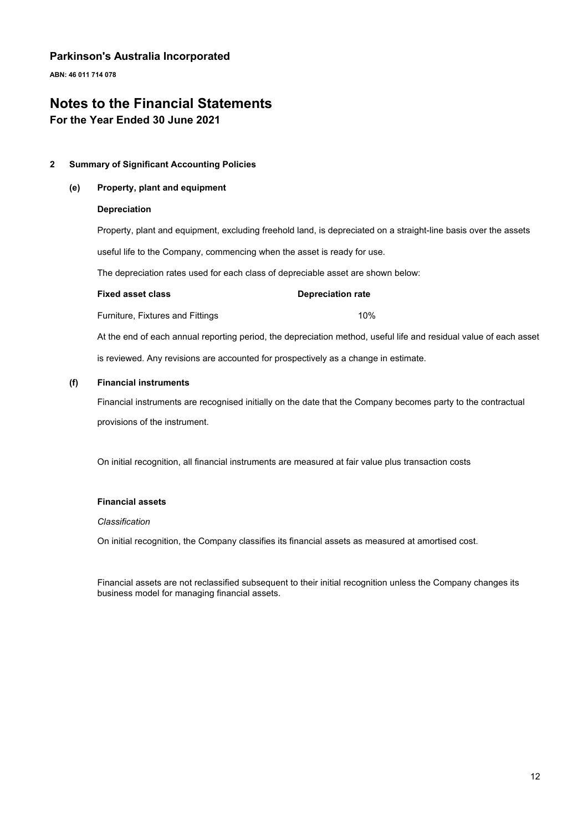**ABN: 46 011 714 078**

# **Notes to the Financial Statements**

**For the Year Ended 30 June 2021**

#### **2 Summary of Significant Accounting Policies**

#### **(e) Property, plant and equipment**

#### **Depreciation**

Property, plant and equipment, excluding freehold land, is depreciated on a straight-line basis over the assets useful life to the Company, commencing when the asset is ready for use.

The depreciation rates used for each class of depreciable asset are shown below:

#### **Fixed asset class Depreciation rate**

Furniture, Fixtures and Fittings 10%

At the end of each annual reporting period, the depreciation method, useful life and residual value of each asset is reviewed. Any revisions are accounted for prospectively as a change in estimate.

#### **(f) Financial instruments**

Financial instruments are recognised initially on the date that the Company becomes party to the contractual provisions of the instrument.

On initial recognition, all financial instruments are measured at fair value plus transaction costs

#### **Financial assets**

#### *Classification*

On initial recognition, the Company classifies its financial assets as measured at amortised cost.

Financial assets are not reclassified subsequent to their initial recognition unless the Company changes its business model for managing financial assets.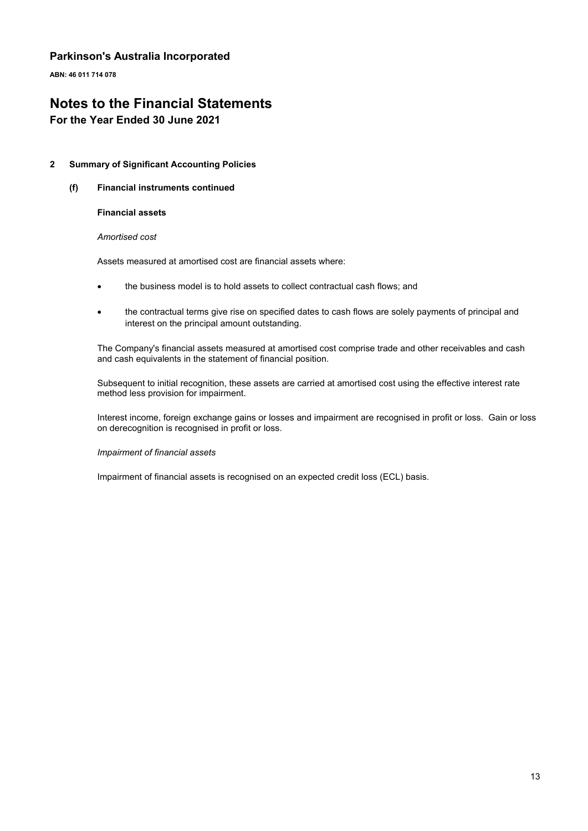**ABN: 46 011 714 078**

# **Notes to the Financial Statements**

#### **For the Year Ended 30 June 2021**

#### **2 Summary of Significant Accounting Policies**

**(f) Financial instruments continued**

#### **Financial assets**

#### *Amortised cost*

Assets measured at amortised cost are financial assets where:

- the business model is to hold assets to collect contractual cash flows; and
- the contractual terms give rise on specified dates to cash flows are solely payments of principal and interest on the principal amount outstanding.

The Company's financial assets measured at amortised cost comprise trade and other receivables and cash and cash equivalents in the statement of financial position.

Subsequent to initial recognition, these assets are carried at amortised cost using the effective interest rate method less provision for impairment.

Interest income, foreign exchange gains or losses and impairment are recognised in profit or loss. Gain or loss on derecognition is recognised in profit or loss.

#### *Impairment of financial assets*

Impairment of financial assets is recognised on an expected credit loss (ECL) basis.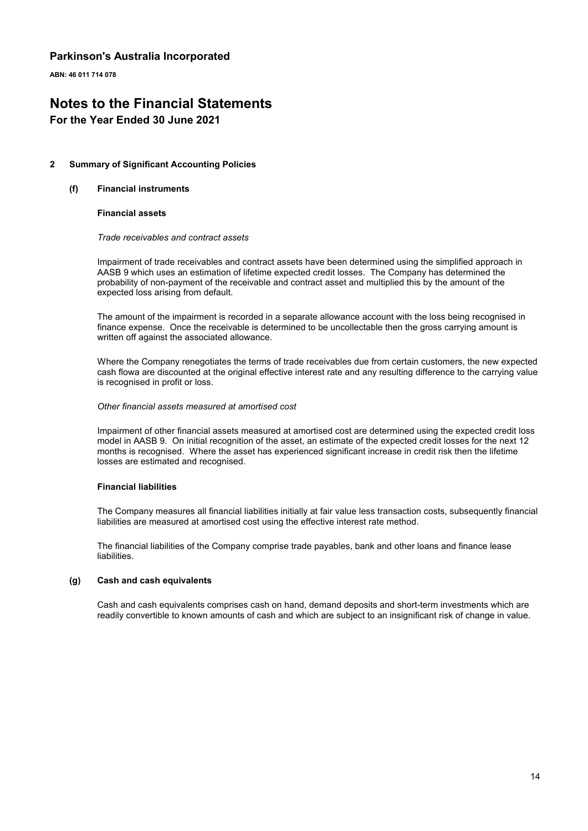**ABN: 46 011 714 078**

# **Notes to the Financial Statements**

#### **For the Year Ended 30 June 2021**

#### **2 Summary of Significant Accounting Policies**

#### **(f) Financial instruments**

#### **Financial assets**

#### *Trade receivables and contract assets*

Impairment of trade receivables and contract assets have been determined using the simplified approach in AASB 9 which uses an estimation of lifetime expected credit losses. The Company has determined the probability of non-payment of the receivable and contract asset and multiplied this by the amount of the expected loss arising from default.

The amount of the impairment is recorded in a separate allowance account with the loss being recognised in finance expense. Once the receivable is determined to be uncollectable then the gross carrying amount is written off against the associated allowance.

Where the Company renegotiates the terms of trade receivables due from certain customers, the new expected cash flowa are discounted at the original effective interest rate and any resulting difference to the carrying value is recognised in profit or loss.

#### *Other financial assets measured at amortised cost*

Impairment of other financial assets measured at amortised cost are determined using the expected credit loss model in AASB 9. On initial recognition of the asset, an estimate of the expected credit losses for the next 12 months is recognised. Where the asset has experienced significant increase in credit risk then the lifetime losses are estimated and recognised.

#### **Financial liabilities**

The Company measures all financial liabilities initially at fair value less transaction costs, subsequently financial liabilities are measured at amortised cost using the effective interest rate method.

The financial liabilities of the Company comprise trade payables, bank and other loans and finance lease liabilities.

#### **(g) Cash and cash equivalents**

Cash and cash equivalents comprises cash on hand, demand deposits and short-term investments which are readily convertible to known amounts of cash and which are subject to an insignificant risk of change in value.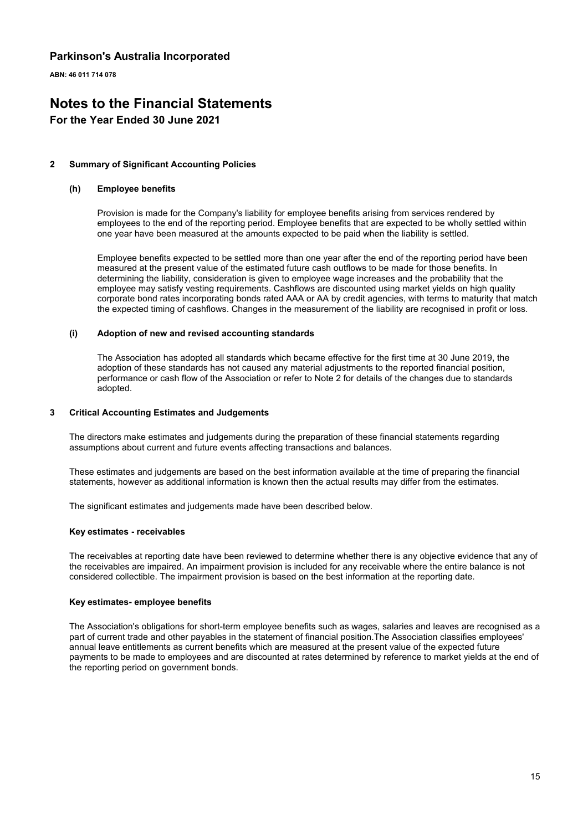**ABN: 46 011 714 078**

# **Notes to the Financial Statements**

#### **For the Year Ended 30 June 2021**

#### **2 Summary of Significant Accounting Policies**

#### **(h) Employee benefits**

Provision is made for the Company's liability for employee benefits arising from services rendered by employees to the end of the reporting period. Employee benefits that are expected to be wholly settled within one year have been measured at the amounts expected to be paid when the liability is settled.

Employee benefits expected to be settled more than one year after the end of the reporting period have been measured at the present value of the estimated future cash outflows to be made for those benefits. In determining the liability, consideration is given to employee wage increases and the probability that the employee may satisfy vesting requirements. Cashflows are discounted using market yields on high quality corporate bond rates incorporating bonds rated AAA or AA by credit agencies, with terms to maturity that match the expected timing of cashflows. Changes in the measurement of the liability are recognised in profit or loss.

#### **(i) Adoption of new and revised accounting standards**

The Association has adopted all standards which became effective for the first time at 30 June 2019, the adoption of these standards has not caused any material adjustments to the reported financial position, performance or cash flow of the Association or refer to Note 2 for details of the changes due to standards adopted.

#### **3 Critical Accounting Estimates and Judgements**

The directors make estimates and judgements during the preparation of these financial statements regarding assumptions about current and future events affecting transactions and balances.

These estimates and judgements are based on the best information available at the time of preparing the financial statements, however as additional information is known then the actual results may differ from the estimates.

The significant estimates and judgements made have been described below.

#### **Key estimates - receivables**

The receivables at reporting date have been reviewed to determine whether there is any objective evidence that any of the receivables are impaired. An impairment provision is included for any receivable where the entire balance is not considered collectible. The impairment provision is based on the best information at the reporting date.

#### **Key estimates- employee benefits**

The Association's obligations for short-term employee benefits such as wages, salaries and leaves are recognised as a part of current trade and other payables in the statement of financial position.The Association classifies employees' annual leave entitlements as current benefits which are measured at the present value of the expected future payments to be made to employees and are discounted at rates determined by reference to market yields at the end of the reporting period on government bonds.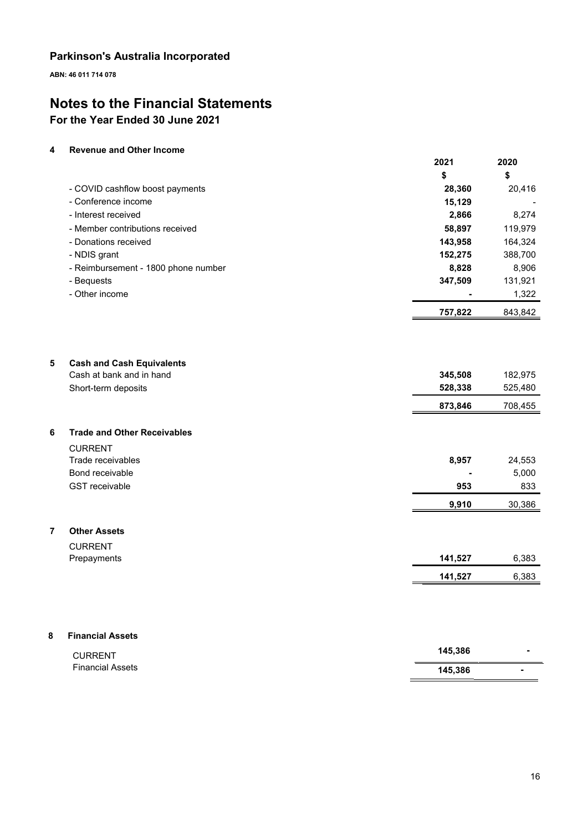**ABN: 46 011 714 078**

# **Notes to the Financial Statements For the Year Ended 30 June 2021**

#### **4 Revenue and Other Income**

Financial Assets

|   |                                     | 2021           | 2020    |
|---|-------------------------------------|----------------|---------|
|   |                                     | \$             | \$      |
|   | - COVID cashflow boost payments     | 28,360         | 20,416  |
|   | - Conference income                 | 15,129         |         |
|   | - Interest received                 | 2,866          | 8,274   |
|   | - Member contributions received     | 58,897         | 119,979 |
|   | - Donations received                | 143,958        | 164,324 |
|   | - NDIS grant                        | 152,275        | 388,700 |
|   | - Reimbursement - 1800 phone number | 8,828          | 8,906   |
|   | - Bequests                          | 347,509        | 131,921 |
|   | - Other income                      | $\blacksquare$ | 1,322   |
|   |                                     | 757,822        | 843,842 |
|   |                                     |                |         |
| 5 | <b>Cash and Cash Equivalents</b>    |                |         |
|   | Cash at bank and in hand            | 345,508        | 182,975 |
|   | Short-term deposits                 | 528,338        | 525,480 |
|   |                                     | 873,846        | 708,455 |
| 6 | <b>Trade and Other Receivables</b>  |                |         |
|   | <b>CURRENT</b>                      |                |         |
|   | Trade receivables                   | 8,957          | 24,553  |
|   | Bond receivable                     |                | 5,000   |
|   | <b>GST</b> receivable               | 953            | 833     |
|   |                                     | 9,910          | 30,386  |
| 7 | <b>Other Assets</b>                 |                |         |
|   | <b>CURRENT</b>                      |                |         |
|   | Prepayments                         | 141,527        | 6,383   |
|   |                                     | 141,527        | 6,383   |
|   |                                     |                |         |
| 8 | <b>Financial Assets</b>             |                |         |
|   | <b>CURRENT</b>                      | 145,386        |         |

| 145,386 |  |
|---------|--|
|---------|--|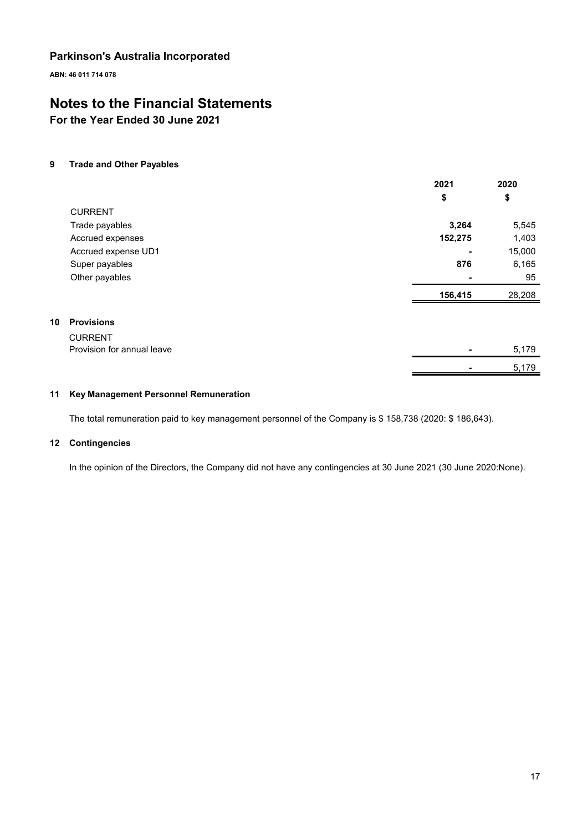**ABN: 46 011 714 078**

# **Notes to the Financial Statements**

**For the Year Ended 30 June 2021**

#### **9 Trade and Other Payables**

|    |                            | 2021           | 2020   |
|----|----------------------------|----------------|--------|
|    |                            | \$             | \$     |
|    | <b>CURRENT</b>             |                |        |
|    | Trade payables             | 3,264          | 5,545  |
|    | Accrued expenses           | 152,275        | 1,403  |
|    | Accrued expense UD1        | $\blacksquare$ | 15,000 |
|    | Super payables             | 876            | 6,165  |
|    | Other payables             |                | 95     |
|    |                            | 156,415        | 28,208 |
| 10 | <b>Provisions</b>          |                |        |
|    | <b>CURRENT</b>             |                |        |
|    | Provision for annual leave |                | 5,179  |
|    |                            |                | 5,179  |

#### **11 Key Management Personnel Remuneration**

The total remuneration paid to key management personnel of the Company is \$ 158,738 (2020: \$ 186,643).

#### **12 Contingencies**

In the opinion of the Directors, the Company did not have any contingencies at 30 June 2021 (30 June 2020:None).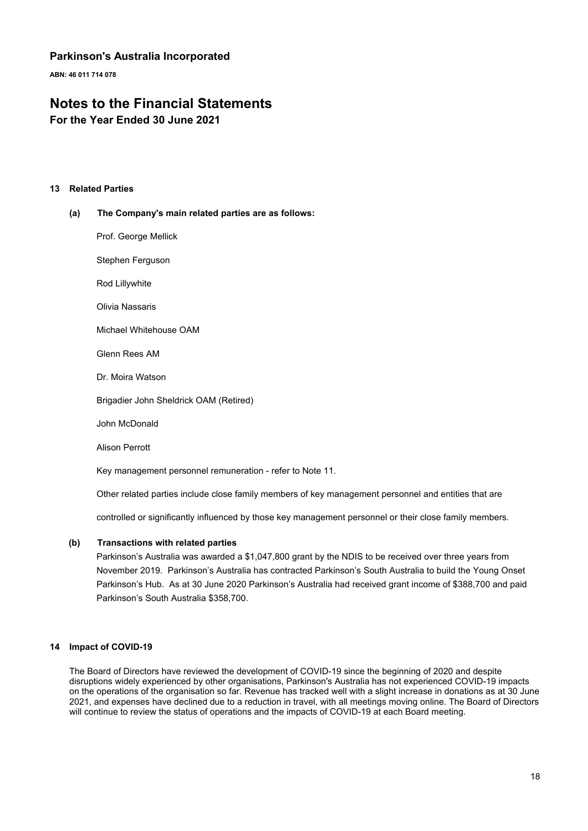**ABN: 46 011 714 078**

### **Notes to the Financial Statements**

**For the Year Ended 30 June 2021**

#### **13 Related Parties**

#### **(a) The Company's main related parties are as follows:**

Prof. George Mellick

Stephen Ferguson

Rod Lillywhite

Olivia Nassaris

Michael Whitehouse OAM

Glenn Rees AM

Dr. Moira Watson

Brigadier John Sheldrick OAM (Retired)

John McDonald

Alison Perrott

Key management personnel remuneration - refer to Note 11.

Other related parties include close family members of key management personnel and entities that are

controlled or significantly influenced by those key management personnel or their close family members.

#### **(b) Transactions with related parties**

Parkinson's Australia was awarded a \$1,047,800 grant by the NDIS to be received over three years from November 2019. Parkinson's Australia has contracted Parkinson's South Australia to build the Young Onset Parkinson's Hub. As at 30 June 2020 Parkinson's Australia had received grant income of \$388,700 and paid Parkinson's South Australia \$358,700.

#### **14 Impact of COVID-19**

The Board of Directors have reviewed the development of COVID-19 since the beginning of 2020 and despite disruptions widely experienced by other organisations, Parkinson's Australia has not experienced COVID-19 impacts on the operations of the organisation so far. Revenue has tracked well with a slight increase in donations as at 30 June 2021, and expenses have declined due to a reduction in travel, with all meetings moving online. The Board of Directors will continue to review the status of operations and the impacts of COVID-19 at each Board meeting.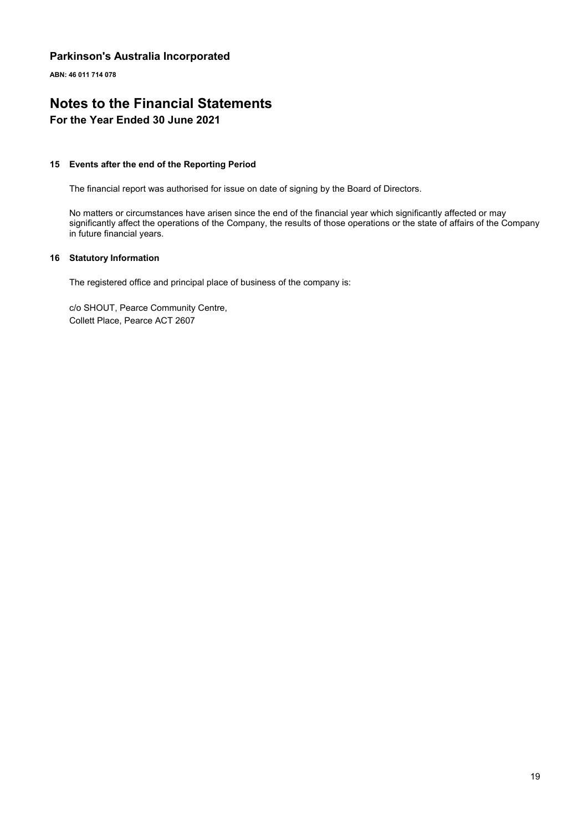**ABN: 46 011 714 078**

# **Notes to the Financial Statements**

#### **For the Year Ended 30 June 2021**

#### **15 Events after the end of the Reporting Period**

The financial report was authorised for issue on date of signing by the Board of Directors.

No matters or circumstances have arisen since the end of the financial year which significantly affected or may significantly affect the operations of the Company, the results of those operations or the state of affairs of the Company in future financial years.

#### **16 Statutory Information**

The registered office and principal place of business of the company is:

c/o SHOUT, Pearce Community Centre, Collett Place, Pearce ACT 2607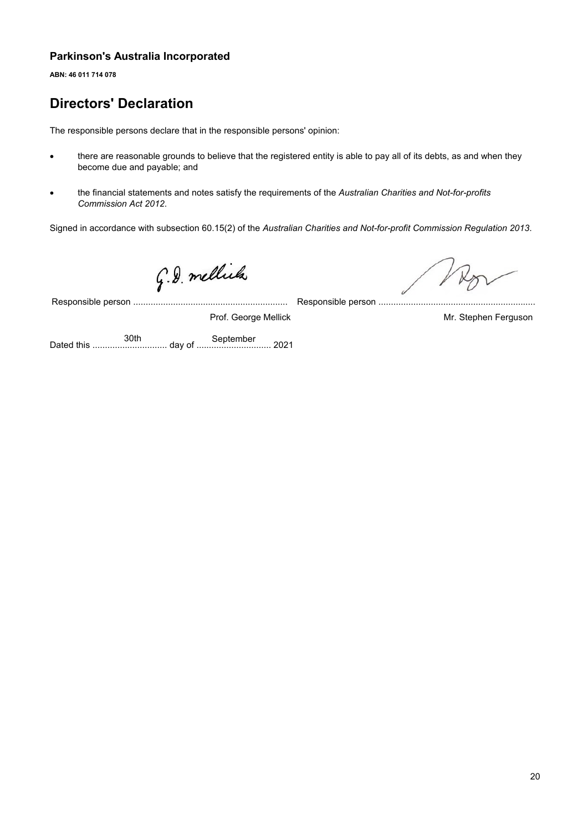**ABN: 46 011 714 078**

# **Directors' Declaration**

The responsible persons declare that in the responsible persons' opinion:

- there are reasonable grounds to believe that the registered entity is able to pay all of its debts, as and when they become due and payable; and
- the financial statements and notes satisfy the requirements of the *Australian Charities and Not-for-profits Commission Act 2012*.

Signed in accordance with subsection 60.15(2) of the *Australian Charities and Not-for-profit Commission Regulation 2013*.

G.D. mellicles

Responsible person .............................................................. Mr. Stephen Ferguson Responsible person .......... Prof. George Mellick

Dated this .............................. day of .............................. 2021 30th September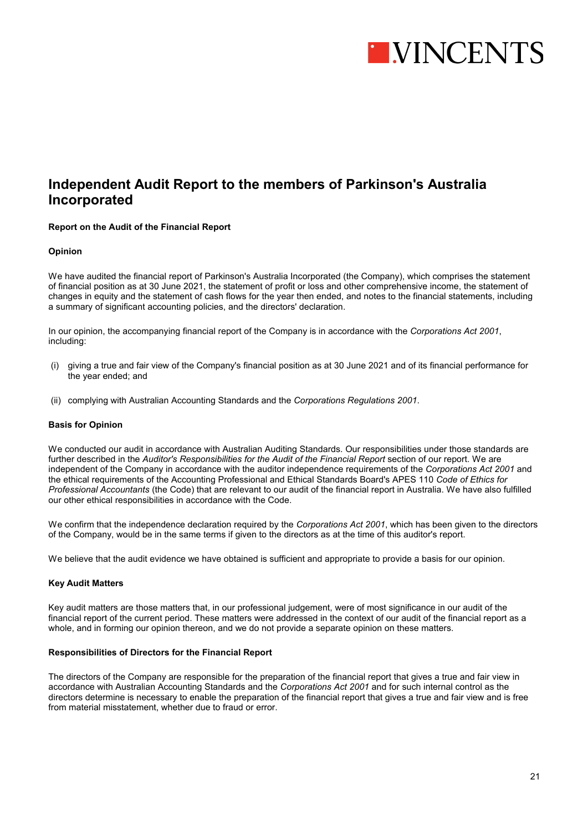

### **Independent Audit Report to the members of Parkinson's Australia Incorporated**

#### **Report on the Audit of the Financial Report**

#### **Opinion**

We have audited the financial report of Parkinson's Australia Incorporated (the Company), which comprises the statement of financial position as at 30 June 2021, the statement of profit or loss and other comprehensive income, the statement of changes in equity and the statement of cash flows for the year then ended, and notes to the financial statements, including a summary of significant accounting policies, and the directors' declaration.

In our opinion, the accompanying financial report of the Company is in accordance with the *Corporations Act 2001*, including:

- (i) giving a true and fair view of the Company's financial position as at 30 June 2021 and of its financial performance for the year ended; and
- (ii) complying with Australian Accounting Standards and the *Corporations Regulations 2001*.

#### **Basis for Opinion**

We conducted our audit in accordance with Australian Auditing Standards. Our responsibilities under those standards are further described in the *Auditor's Responsibilities for the Audit of the Financial Report* section of our report. We are independent of the Company in accordance with the auditor independence requirements of the *Corporations Act 2001* and the ethical requirements of the Accounting Professional and Ethical Standards Board's APES 110 *Code of Ethics for Professional Accountants* (the Code) that are relevant to our audit of the financial report in Australia. We have also fulfilled our other ethical responsibilities in accordance with the Code.

We confirm that the independence declaration required by the *Corporations Act 2001*, which has been given to the directors of the Company, would be in the same terms if given to the directors as at the time of this auditor's report.

We believe that the audit evidence we have obtained is sufficient and appropriate to provide a basis for our opinion.

#### **Key Audit Matters**

Key audit matters are those matters that, in our professional judgement, were of most significance in our audit of the financial report of the current period. These matters were addressed in the context of our audit of the financial report as a whole, and in forming our opinion thereon, and we do not provide a separate opinion on these matters.

#### **Responsibilities of Directors for the Financial Report**

The directors of the Company are responsible for the preparation of the financial report that gives a true and fair view in accordance with Australian Accounting Standards and the *Corporations Act 2001* and for such internal control as the directors determine is necessary to enable the preparation of the financial report that gives a true and fair view and is free from material misstatement, whether due to fraud or error.